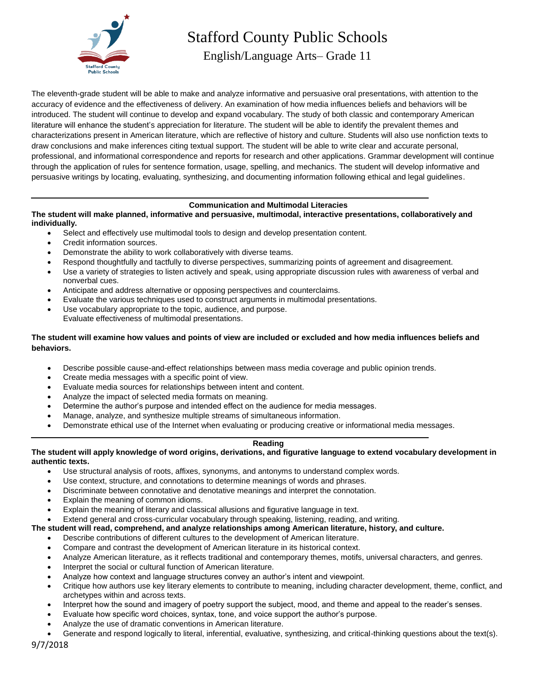

Stafford County Public Schools

English/Language Arts– Grade 11

The eleventh-grade student will be able to make and analyze informative and persuasive oral presentations, with attention to the accuracy of evidence and the effectiveness of delivery. An examination of how media influences beliefs and behaviors will be introduced. The student will continue to develop and expand vocabulary. The study of both classic and contemporary American literature will enhance the student's appreciation for literature. The student will be able to identify the prevalent themes and characterizations present in American literature, which are reflective of history and culture. Students will also use nonfiction texts to draw conclusions and make inferences citing textual support. The student will be able to write clear and accurate personal, professional, and informational correspondence and reports for research and other applications. Grammar development will continue through the application of rules for sentence formation, usage, spelling, and mechanics. The student will develop informative and persuasive writings by locating, evaluating, synthesizing, and documenting information following ethical and legal guidelines.

# **Communication and Multimodal Literacies**

**The student will make planned, informative and persuasive, multimodal, interactive presentations, collaboratively and individually.**

- Select and effectively use multimodal tools to design and develop presentation content.
- Credit information sources.
- Demonstrate the ability to work collaboratively with diverse teams.
- Respond thoughtfully and tactfully to diverse perspectives, summarizing points of agreement and disagreement.
- Use a variety of strategies to listen actively and speak, using appropriate discussion rules with awareness of verbal and nonverbal cues.
- Anticipate and address alternative or opposing perspectives and counterclaims.
- Evaluate the various techniques used to construct arguments in multimodal presentations.
- Use vocabulary appropriate to the topic, audience, and purpose. Evaluate effectiveness of multimodal presentations.

# **The student will examine how values and points of view are included or excluded and how media influences beliefs and behaviors.**

- Describe possible cause-and-effect relationships between mass media coverage and public opinion trends.
- Create media messages with a specific point of view.
- Evaluate media sources for relationships between intent and content.
- Analyze the impact of selected media formats on meaning.
- Determine the author's purpose and intended effect on the audience for media messages.
- Manage, analyze, and synthesize multiple streams of simultaneous information.
- Demonstrate ethical use of the Internet when evaluating or producing creative or informational media messages.

#### **Reading**

#### **The student will apply knowledge of word origins, derivations, and figurative language to extend vocabulary development in authentic texts.**

- Use structural analysis of roots, affixes, synonyms, and antonyms to understand complex words.
- Use context, structure, and connotations to determine meanings of words and phrases.
- Discriminate between connotative and denotative meanings and interpret the connotation.
- Explain the meaning of common idioms.
- Explain the meaning of literary and classical allusions and figurative language in text.
- Extend general and cross-curricular vocabulary through speaking, listening, reading, and writing.

# **The student will read, comprehend, and analyze relationships among American literature, history, and culture.**

- Describe contributions of different cultures to the development of American literature.
- Compare and contrast the development of American literature in its historical context.
- Analyze American literature, as it reflects traditional and contemporary themes, motifs, universal characters, and genres.
- Interpret the social or cultural function of American literature.
- Analyze how context and language structures convey an author's intent and viewpoint.
- Critique how authors use key literary elements to contribute to meaning, including character development, theme, conflict, and archetypes within and across texts.
- Interpret how the sound and imagery of poetry support the subject, mood, and theme and appeal to the reader's senses.
- Evaluate how specific word choices, syntax, tone, and voice support the author's purpose.
- Analyze the use of dramatic conventions in American literature.
- Generate and respond logically to literal, inferential, evaluative, synthesizing, and critical-thinking questions about the text(s).

9/7/2018